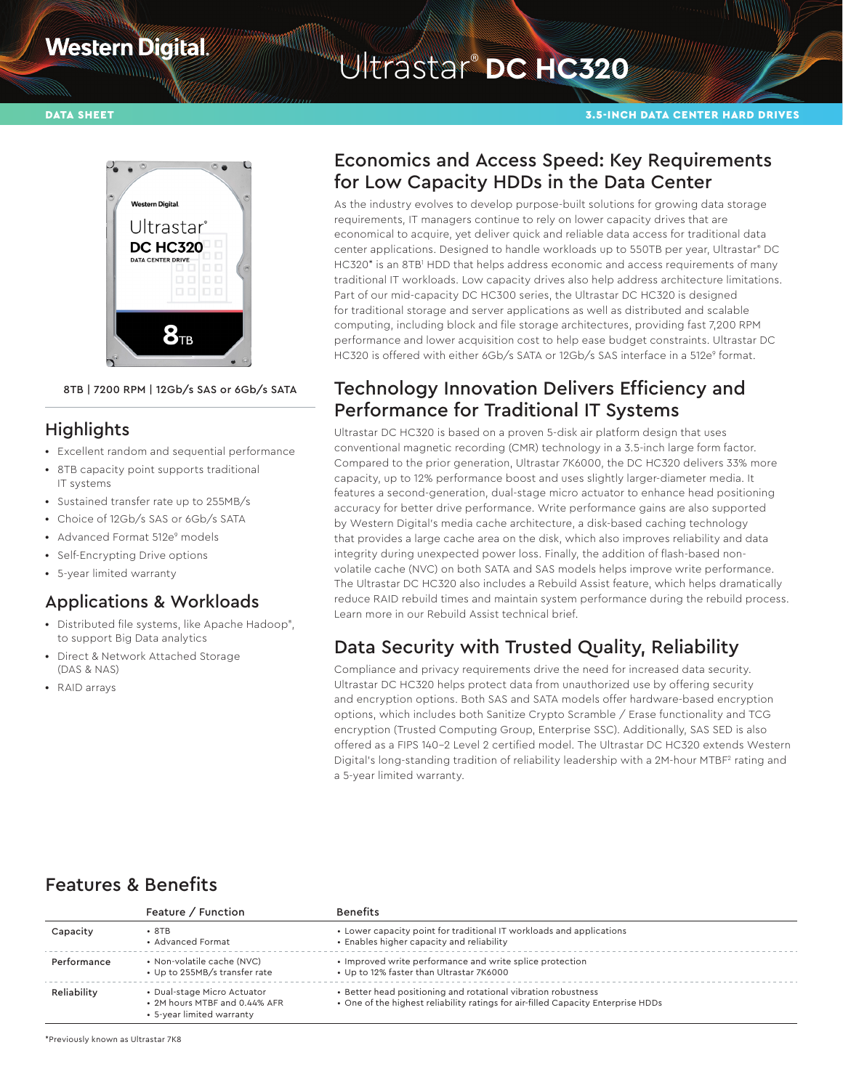## **Western Digital**

# Ultrastar® **DC HC320**

#### DATA SHEET 3.5-INCH DATA CENTER HARD DRIVES



#### 8TB | 7200 RPM | 12Gb/s SAS or 6Gb/s SATA

#### **Highlights**

- **•** Excellent random and sequential performance
- **•** 8TB capacity point supports traditional IT systems
- **•** Sustained transfer rate up to 255MB/s
- **•** Choice of 12Gb/s SAS or 6Gb/s SATA
- Advanced Format 512e<sup>9</sup> models
- **•** Self-Encrypting Drive options
- **•** 5-year limited warranty

#### Applications & Workloads

- **•** Distributed file systems, like Apache Hadoop® , to support Big Data analytics
- **•** Direct & Network Attached Storage (DAS & NAS)
- **•** RAID arrays

## Economics and Access Speed: Key Requirements for Low Capacity HDDs in the Data Center

As the industry evolves to develop purpose-built solutions for growing data storage requirements, IT managers continue to rely on lower capacity drives that are economical to acquire, yet deliver quick and reliable data access for traditional data center applications. Designed to handle workloads up to 550TB per year, Ultrastar® DC HC320\* is an 8TB1 HDD that helps address economic and access requirements of many traditional IT workloads. Low capacity drives also help address architecture limitations. Part of our mid-capacity DC HC300 series, the Ultrastar DC HC320 is designed for traditional storage and server applications as well as distributed and scalable computing, including block and file storage architectures, providing fast 7,200 RPM performance and lower acquisition cost to help ease budget constraints. Ultrastar DC HC320 is offered with either 6Gb/s SATA or 12Gb/s SAS interface in a 512e<sup>9</sup> format.

#### Technology Innovation Delivers Efficiency and Performance for Traditional IT Systems

Ultrastar DC HC320 is based on a proven 5-disk air platform design that uses conventional magnetic recording (CMR) technology in a 3.5-inch large form factor. Compared to the prior generation, Ultrastar 7K6000, the DC HC320 delivers 33% more capacity, up to 12% performance boost and uses slightly larger-diameter media. It features a second-generation, dual-stage micro actuator to enhance head positioning accuracy for better drive performance. Write performance gains are also supported by Western Digital's media cache architecture, a disk-based caching technology that provides a large cache area on the disk, which also improves reliability and data integrity during unexpected power loss. Finally, the addition of flash-based nonvolatile cache (NVC) on both SATA and SAS models helps improve write performance. The Ultrastar DC HC320 also includes a Rebuild Assist feature, which helps dramatically reduce RAID rebuild times and maintain system performance during the rebuild process. Learn more in our Rebuild Assist technical brief.

## Data Security with Trusted Quality, Reliability

Compliance and privacy requirements drive the need for increased data security. Ultrastar DC HC320 helps protect data from unauthorized use by offering security and encryption options. Both SAS and SATA models offer hardware-based encryption options, which includes both Sanitize Crypto Scramble / Erase functionality and TCG encryption (Trusted Computing Group, Enterprise SSC). Additionally, SAS SED is also offered as a FIPS 140–2 Level 2 certified model. The Ultrastar DC HC320 extends Western Digital's long-standing tradition of reliability leadership with a 2M-hour MTBF2 rating and a 5-year limited warranty.

## Features & Benefits

|             | Feature / Function                                                                        | <b>Benefits</b>                                                                                                                                   |
|-------------|-------------------------------------------------------------------------------------------|---------------------------------------------------------------------------------------------------------------------------------------------------|
| Capacity    | $\cdot$ 8TB<br>• Advanced Format                                                          | • Lower capacity point for traditional IT workloads and applications<br>• Enables higher capacity and reliability                                 |
| Performance | • Non-volatile cache (NVC)<br>• Up to 255MB/s transfer rate                               | • Improved write performance and write splice protection<br>• Up to 12% faster than Ultrastar 7K6000                                              |
| Reliability | • Dual-stage Micro Actuator<br>• 2M hours MTBF and 0.44% AFR<br>• 5-year limited warranty | • Better head positioning and rotational vibration robustness<br>. One of the highest reliability ratings for air-filled Capacity Enterprise HDDs |